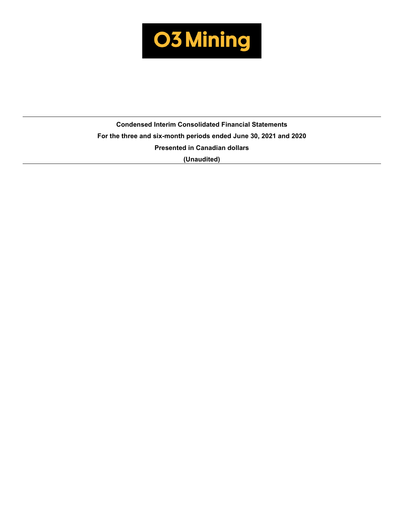

**Condensed Interim Consolidated Financial Statements For the three and six-month periods ended June 30, 2021 and 2020 Presented in Canadian dollars (Unaudited)**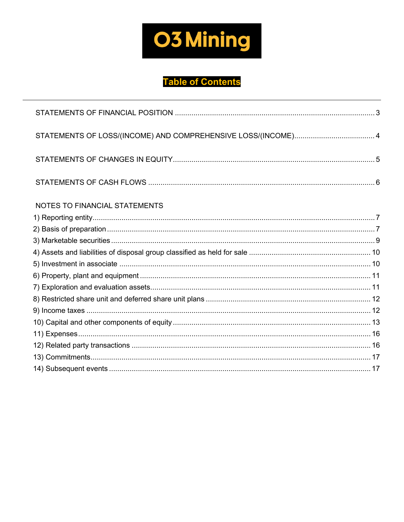

# **Table of Contents**

| STATEMENTS OF LOSS/(INCOME) AND COMPREHENSIVE LOSS/(INCOME) 4 |  |
|---------------------------------------------------------------|--|
|                                                               |  |
|                                                               |  |
| NOTES TO FINANCIAL STATEMENTS                                 |  |
|                                                               |  |
|                                                               |  |
|                                                               |  |
|                                                               |  |
|                                                               |  |
|                                                               |  |
|                                                               |  |
|                                                               |  |
|                                                               |  |
|                                                               |  |
|                                                               |  |
|                                                               |  |
|                                                               |  |
|                                                               |  |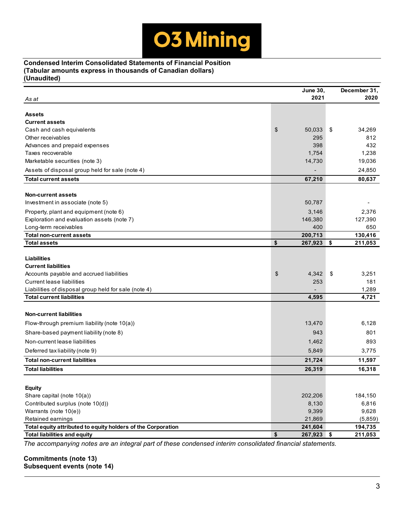**Condensed Interim Consolidated Statements of Financial Position (Tabular amounts express in thousands of Canadian dollars) (Unaudited)**

|                                                              | <b>June 30,</b>        | December 31,  |
|--------------------------------------------------------------|------------------------|---------------|
| As at                                                        | 2021                   | 2020          |
|                                                              |                        |               |
| Assets                                                       |                        |               |
| <b>Current assets</b>                                        |                        |               |
| Cash and cash equivalents                                    | \$<br>50,033           | \$<br>34,269  |
| Other receivables                                            | 295                    | 812           |
| Advances and prepaid expenses                                | 398                    | 432           |
| Taxes recoverable                                            | 1,754                  | 1,238         |
| Marketable securities (note 3)                               | 14,730                 | 19,036        |
| Assets of disposal group held for sale (note 4)              |                        | 24,850        |
| <b>Total current assets</b>                                  | 67,210                 | 80,637        |
| <b>Non-current assets</b>                                    |                        |               |
| Investment in associate (note 5)                             | 50,787                 |               |
| Property, plant and equipment (note 6)                       | 3,146                  | 2,376         |
| Exploration and evaluation assets (note 7)                   | 146,380                | 127,390       |
| Long-term receivables                                        | 400                    | 650           |
| <b>Total non-current assets</b>                              | 200,713                | 130,416       |
| <b>Total assets</b>                                          | \$<br>267,923          | \$<br>211,053 |
|                                                              |                        |               |
| <b>Liabilities</b>                                           |                        |               |
| <b>Current liabilities</b>                                   |                        |               |
| Accounts payable and accrued liabilities                     | $\frac{1}{2}$<br>4,342 | \$<br>3,251   |
| <b>Current lease liabilities</b>                             | 253                    | 181           |
| Liabilities of disposal group held for sale (note 4)         |                        | 1,289         |
| <b>Total current liabilities</b>                             | 4,595                  | 4,721         |
| <b>Non-current liabilities</b>                               |                        |               |
|                                                              |                        | 6,128         |
| Flow-through premium liability (note $10(a)$ )               | 13,470                 |               |
| Share-based payment liability (note 8)                       | 943                    | 801           |
| Non-current lease liabilities                                | 1,462                  | 893           |
| Deferred tax liability (note 9)                              | 5,849                  | 3,775         |
| <b>Total non-current liabilities</b>                         | 21,724                 | 11,597        |
| <b>Total liabilities</b>                                     | 26,319                 | 16,318        |
|                                                              |                        |               |
| Equity                                                       |                        |               |
| Share capital (note 10(a))                                   | 202,206                | 184,150       |
| Contributed surplus (note 10(d))                             | 8,130                  | 6,816         |
| Warrants (note 10(e))                                        | 9,399                  | 9,628         |
| Retained earnings                                            | 21,869                 | (5,859)       |
| Total equity attributed to equity holders of the Corporation | 241,604                | 194,735       |
| <b>Total liabilities and equity</b>                          | \$<br>267,923 \$       | 211,053       |

*The accompanying notes are an integral part of these condensed interim consolidated financial statements.*

**Commitments (note 13) Subsequent events (note 14)**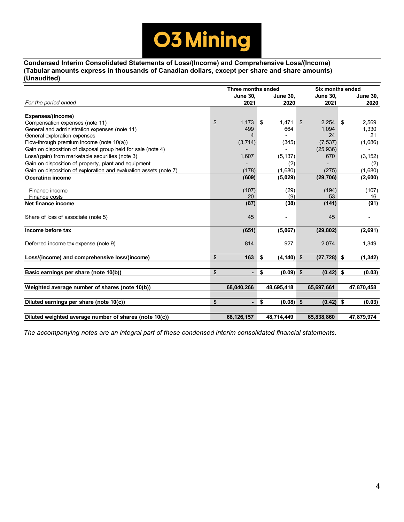

**Condensed Interim Consolidated Statements of Loss/(Income) and Comprehensive Loss/(Income) (Tabular amounts express in thousands of Canadian dollars, except per share and share amounts) (Unaudited)**

|                                                                   | Three months ended |                          |    |                 | <b>Six months ended</b> |                 |    |                 |  |  |
|-------------------------------------------------------------------|--------------------|--------------------------|----|-----------------|-------------------------|-----------------|----|-----------------|--|--|
|                                                                   |                    | <b>June 30,</b>          |    | <b>June 30,</b> |                         | <b>June 30,</b> |    | <b>June 30,</b> |  |  |
| For the period ended                                              |                    | 2021                     |    | 2020            |                         | 2021            |    | 2020            |  |  |
|                                                                   |                    |                          |    |                 |                         |                 |    |                 |  |  |
| Expenses/(income)                                                 |                    |                          |    |                 |                         |                 |    |                 |  |  |
| Compensation expenses (note 11)                                   | \$                 | 1,173                    | \$ | 1,471           | \$                      | 2,254           | \$ | 2,569           |  |  |
| General and administration expenses (note 11)                     |                    | 499                      |    | 664             |                         | 1,094           |    | 1,330           |  |  |
| General exploration expenses                                      |                    | 4                        |    |                 |                         | 24              |    | 21              |  |  |
| Flow-through premium income (note 10(a))                          |                    | (3,714)                  |    | (345)           |                         | (7, 537)        |    | (1,686)         |  |  |
| Gain on disposition of disposal group held for sale (note 4)      |                    |                          |    |                 |                         | (25, 936)       |    |                 |  |  |
| Loss/(gain) from marketable securities (note 3)                   |                    | 1,607                    |    | (5, 137)        |                         | 670             |    | (3, 152)        |  |  |
| Gain on disposition of property, plant and equipment              |                    |                          |    | (2)             |                         |                 |    | (2)             |  |  |
| Gain on disposition of exploration and evaluation assets (note 7) |                    | (178)                    |    | (1,680)         |                         | (275)           |    | (1,680)         |  |  |
| <b>Operating income</b>                                           |                    | (609)                    |    | (5,029)         |                         | (29, 706)       |    | (2,600)         |  |  |
|                                                                   |                    |                          |    |                 |                         |                 |    |                 |  |  |
| Finance income                                                    |                    | (107)                    |    | (29)            |                         | (194)           |    | (107)           |  |  |
| Finance costs                                                     |                    | 20                       |    | (9)             |                         | 53              |    | 16              |  |  |
| Net finance income                                                |                    | (87)                     |    | (38)            |                         | (141)           |    | (91)            |  |  |
|                                                                   |                    |                          |    |                 |                         |                 |    |                 |  |  |
| Share of loss of associate (note 5)                               |                    | 45                       |    |                 |                         | 45              |    |                 |  |  |
|                                                                   |                    |                          |    |                 |                         |                 |    |                 |  |  |
| Income before tax                                                 |                    | (651)                    |    | (5,067)         |                         | (29, 802)       |    | (2,691)         |  |  |
|                                                                   |                    | 814                      |    | 927             |                         | 2,074           |    |                 |  |  |
| Deferred income tax expense (note 9)                              |                    |                          |    |                 |                         |                 |    | 1,349           |  |  |
| Loss/(income) and comprehensive loss/(income)                     | \$                 | 163                      | \$ | $(4, 140)$ \$   |                         | $(27, 728)$ \$  |    | (1, 342)        |  |  |
|                                                                   |                    |                          |    |                 |                         |                 |    |                 |  |  |
| Basic earnings per share (note 10(b))                             | \$                 | $\blacksquare$           | \$ | $(0.09)$ \$     |                         | $(0.42)$ \$     |    | (0.03)          |  |  |
|                                                                   |                    |                          |    |                 |                         |                 |    |                 |  |  |
| Weighted average number of shares (note 10(b))                    |                    | 68,040,266               |    | 48,695,418      |                         | 65,697,661      |    | 47,870,458      |  |  |
|                                                                   |                    |                          |    |                 |                         |                 |    |                 |  |  |
| Diluted earnings per share (note 10(c))                           | \$                 | $\overline{\phantom{0}}$ | \$ | $(0.08)$ \$     |                         | $(0.42)$ \$     |    | (0.03)          |  |  |
|                                                                   |                    |                          |    |                 |                         |                 |    |                 |  |  |
| Diluted weighted average number of shares (note 10(c))            |                    | 68,126,157               |    | 48,714,449      |                         | 65,838,860      |    | 47,879,974      |  |  |

*The accompanying notes are an integral part of these condensed interim consolidated financial statements.*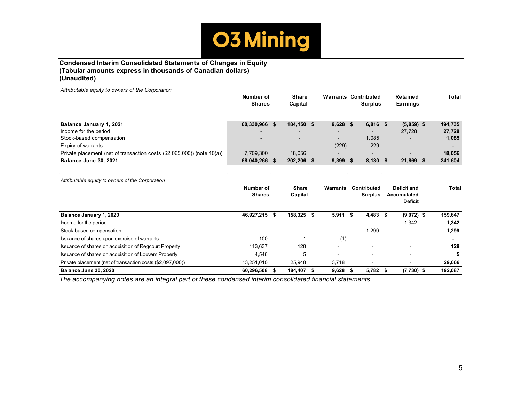

## **Condensed Interim Consolidated Statements of Changes in Equity (Tabular amounts express in thousands of Canadian dollars) (Unaudited)**

| Attributable equity to owners of the Corporation                        |                          |                          |                          |      |                             |              |              |
|-------------------------------------------------------------------------|--------------------------|--------------------------|--------------------------|------|-----------------------------|--------------|--------------|
|                                                                         | Number of                | <b>Share</b>             |                          |      | <b>Warrants Contributed</b> | Retained     | <b>Total</b> |
|                                                                         | <b>Shares</b>            | Capital                  |                          |      | <b>Surplus</b>              | Earnings     |              |
|                                                                         |                          |                          |                          |      |                             |              |              |
| Balance January 1, 2021                                                 | 60,330,966 \$            | 184.150 \$               | 9,628                    | - 55 | $6,816$ \$                  | $(5,859)$ \$ | 194.735      |
| Income for the period                                                   |                          | $\overline{\phantom{0}}$ | $\overline{\phantom{0}}$ |      |                             | 27.728       | 27,728       |
| Stock-based compensation                                                | $\overline{\phantom{0}}$ | $\overline{\phantom{0}}$ | $\overline{\phantom{a}}$ |      | 1,085                       |              | 1,085        |
| Expiry of warrants                                                      | $\overline{\phantom{0}}$ | $\overline{\phantom{0}}$ | (229)                    |      | 229                         |              |              |
| Private placement (net of transaction costs (\$2,065,000)) (note 10(a)) | 7,709,300                | 18.056                   | $\overline{\phantom{0}}$ |      |                             |              | 18,056       |
| Balance June 30, 2021                                                   | 68,040,266 \$            | 202,206 \$               | 9,399                    |      | 8,130                       | 21,869       | 241,604      |

*Attributable equity to owners of the Corporation*

|                                                            | Number of<br><b>Shares</b> | <b>Share</b><br>Capital | Warrants                 |      | Contributed<br><b>Surplus</b> |     | Deficit and<br><b>Accumulated</b><br><b>Deficit</b> | <b>Total</b> |
|------------------------------------------------------------|----------------------------|-------------------------|--------------------------|------|-------------------------------|-----|-----------------------------------------------------|--------------|
| <b>Balance January 1, 2020</b>                             | 46,927,215 \$              | 158,325 \$              | 5,911                    | - 55 | 4,483                         | - 5 | $(9,072)$ \$                                        | 159,647      |
| Income for the period                                      |                            | $\blacksquare$          | $\overline{\phantom{0}}$ |      |                               |     | 1,342                                               | 1,342        |
| Stock-based compensation                                   |                            | -                       |                          |      | 1.299                         |     |                                                     | 1,299        |
| Issuance of shares upon exercise of warrants               | 100                        |                         | (1)                      |      | $\overline{\phantom{0}}$      |     | -                                                   |              |
| Issuance of shares on acquisition of Regcourt Property     | 113.637                    | 128                     | $\overline{\phantom{0}}$ |      |                               |     | -                                                   | 128          |
| Issuance of shares on acquisition of Louvem Property       | 4,546                      | 5                       | $\overline{\phantom{0}}$ |      |                               |     |                                                     | 5            |
| Private placement (net of transaction costs (\$2,097,000)) | 13.251.010                 | 25.948                  | 3,718                    |      |                               |     |                                                     | 29,666       |
| Balance June 30, 2020                                      | 60,296,508                 | 184.407                 | 9.628                    |      | 5.782                         |     | $(7,730)$ \$                                        | 192,087      |

*The accompanying notes are an integral part of these condensed interim consolidated financial statements.*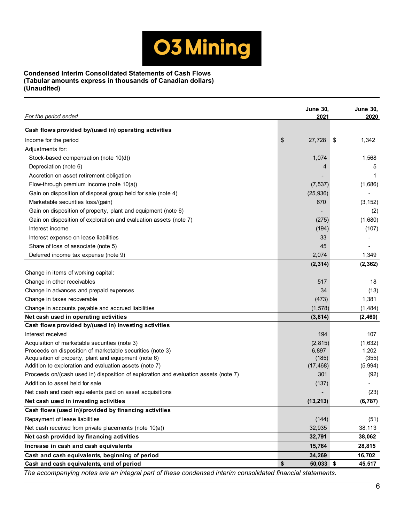

# **Condensed Interim Consolidated Statements of Cash Flows (Tabular amounts express in thousands of Canadian dollars) (Unaudited)**

| For the period ended                                                                                      | <b>June 30,</b><br>2021 | <b>June 30,</b><br>2020 |
|-----------------------------------------------------------------------------------------------------------|-------------------------|-------------------------|
| Cash flows provided by/(used in) operating activities                                                     |                         |                         |
| Income for the period                                                                                     | \$<br>27,728            | 1,342<br>\$             |
| Adjustments for:                                                                                          |                         |                         |
| Stock-based compensation (note 10(d))                                                                     | 1,074                   | 1,568                   |
| Depreciation (note 6)                                                                                     | 4                       | 5                       |
| Accretion on asset retirement obligation                                                                  |                         | 1                       |
| Flow-through premium income (note 10(a))                                                                  | (7, 537)                | (1,686)                 |
| Gain on disposition of disposal group held for sale (note 4)                                              | (25, 936)               |                         |
| Marketable securities loss/(gain)                                                                         | 670                     | (3, 152)                |
| Gain on disposition of property, plant and equipment (note 6)                                             |                         | (2)                     |
| Gain on disposition of exploration and evaluation assets (note 7)                                         | (275)                   | (1,680)                 |
| Interest income                                                                                           | (194)                   | (107)                   |
| Interest expense on lease liabilities                                                                     | 33                      |                         |
| Share of loss of associate (note 5)                                                                       | 45                      |                         |
| Deferred income tax expense (note 9)                                                                      | 2,074                   | 1,349                   |
|                                                                                                           | (2, 314)                | (2, 362)                |
| Change in items of working capital:                                                                       |                         |                         |
| Change in other receivables                                                                               | 517                     | 18                      |
| Change in advances and prepaid expenses                                                                   | 34                      | (13)                    |
| Change in taxes recoverable                                                                               | (473)                   | 1,381                   |
| Change in accounts payable and accrued liabilities                                                        | (1, 578)                | (1, 484)                |
| Net cash used in operating activities                                                                     | (3, 814)                | (2, 460)                |
| Cash flows provided by/(used in) investing activities                                                     |                         |                         |
| Interest received                                                                                         | 194                     | 107                     |
| Acquisition of marketable securities (note 3)                                                             | (2, 815)                | (1,632)                 |
| Proceeds on disposition of marketable securities (note 3)                                                 | 6,897                   | 1,202                   |
| Acquisition of property, plant and equipment (note 6)                                                     | (185)                   | (355)                   |
| Addition to exploration and evaluation assets (note 7)                                                    | (17, 468)               | (5,994)                 |
| Proceeds on/(cash used in) disposition of exploration and evaluation assets (note 7)                      | 301                     | (92)                    |
| Addition to asset held for sale                                                                           | (137)                   |                         |
| Net cash and cash equivalents paid on asset acquisitions                                                  |                         | (23)                    |
| Net cash used in investing activities                                                                     | (13, 213)               | (6, 787)                |
| Cash flows (used in)/provided by financing activities                                                     |                         |                         |
| Repayment of lease liabilities                                                                            | (144)                   | (51)                    |
| Net cash received from private placements (note 10(a))                                                    | 32,935                  | 38,113                  |
| Net cash provided by financing activities                                                                 | 32,791                  | 38,062                  |
| Increase in cash and cash equivalents                                                                     | 15,764                  | 28,815                  |
| Cash and cash equivalents, beginning of period                                                            | 34,269                  | 16,702                  |
| Cash and cash equivalents, end of period                                                                  | \$<br>$50,033$ \$       | 45,517                  |
| The accompanying notes are an integral part of these condensed interim consolidated financial statements. |                         |                         |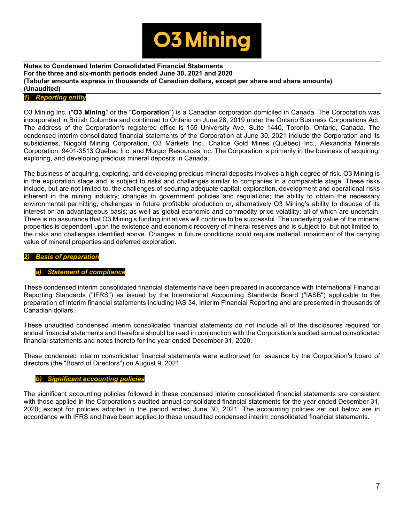

# *1) Reporting entity*

O3 Mining Inc. ("**O3 Mining**" or the "**Corporation**") is a Canadian corporation domiciled in Canada. The Corporation was incorporated in British Columbia and continued to Ontario on June 28, 2019 under the Ontario Business Corporations Act. The address of the Corporation's registered office is 155 University Ave, Suite 1440, Toronto, Ontario, Canada. The condensed interim consolidated financial statements of the Corporation at June 30, 2021 include the Corporation and its subsidiaries, Niogold Mining Corporation, O3 Markets Inc., Chalice Gold Mines (Québec) Inc., Alexandria Minerals Corporation, 9401-3513 Québec Inc. and Murgor Resources Inc. The Corporation is primarily in the business of acquiring, exploring, and developing precious mineral deposits in Canada.

The business of acquiring, exploring, and developing precious mineral deposits involves a high degree of risk. O3 Mining is in the exploration stage and is subject to risks and challenges similar to companies in a comparable stage. These risks include, but are not limited to, the challenges of securing adequate capital; exploration, development and operational risks inherent in the mining industry; changes in government policies and regulations; the ability to obtain the necessary environmental permitting; challenges in future profitable production or, alternatively O3 Mining's ability to dispose of its interest on an advantageous basis; as well as global economic and commodity price volatility; all of which are uncertain. There is no assurance that O3 Mining's funding initiatives will continue to be successful. The underlying value of the mineral properties is dependent upon the existence and economic recovery of mineral reserves and is subject to, but not limited to, the risks and challenges identified above. Changes in future conditions could require material impairment of the carrying value of mineral properties and deferred exploration.

#### *2) Basis of preparation*

#### **Statement of compliance**

These condensed interim consolidated financial statements have been prepared in accordance with International Financial Reporting Standards ("IFRS") as issued by the International Accounting Standards Board ("IASB") applicable to the preparation of interim financial statements including IAS 34, Interim Financial Reporting and are presented in thousands of Canadian dollars.

These unaudited condensed interim consolidated financial statements do not include all of the disclosures required for annual financial statements and therefore should be read in conjunction with the Corporation's audited annual consolidated financial statements and notes thereto for the year ended December 31, 2020.

These condensed interim consolidated financial statements were authorized for issuance by the Corporation's board of directors (the "Board of Directors") on August 9, 2021.

#### *b) Significant accounting policies*

The significant accounting policies followed in these condensed interim consolidated financial statements are consistent with those applied in the Corporation's audited annual consolidated financial statements for the year ended December 31, 2020, except for policies adopted in the period ended June 30, 2021. The accounting policies set out below are in accordance with IFRS and have been applied to these unaudited condensed interim consolidated financial statements.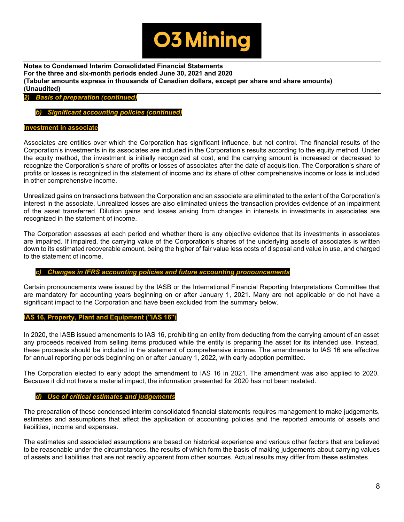

*2) Basis of preparation (continued)*

*b) Significant accounting policies (continued)*

# **Investment in associate**

Associates are entities over which the Corporation has significant influence, but not control. The financial results of the Corporation's investments in its associates are included in the Corporation's results according to the equity method. Under the equity method, the investment is initially recognized at cost, and the carrying amount is increased or decreased to recognize the Corporation's share of profits or losses of associates after the date of acquisition. The Corporation's share of profits or losses is recognized in the statement of income and its share of other comprehensive income or loss is included in other comprehensive income.

Unrealized gains on transactions between the Corporation and an associate are eliminated to the extent of the Corporation's interest in the associate. Unrealized losses are also eliminated unless the transaction provides evidence of an impairment of the asset transferred. Dilution gains and losses arising from changes in interests in investments in associates are recognized in the statement of income.

The Corporation assesses at each period end whether there is any objective evidence that its investments in associates are impaired. If impaired, the carrying value of the Corporation's shares of the underlying assets of associates is written down to its estimated recoverable amount, being the higher of fair value less costs of disposal and value in use, and charged to the statement of income.

#### *c) Changes in IFRS accounting policies and future accounting pronouncements*

Certain pronouncements were issued by the IASB or the International Financial Reporting Interpretations Committee that are mandatory for accounting years beginning on or after January 1, 2021. Many are not applicable or do not have a significant impact to the Corporation and have been excluded from the summary below.

#### **IAS 16, Property, Plant and Equipment ("IAS 16")**

In 2020, the IASB issued amendments to IAS 16, prohibiting an entity from deducting from the carrying amount of an asset any proceeds received from selling items produced while the entity is preparing the asset for its intended use. Instead, these proceeds should be included in the statement of comprehensive income. The amendments to IAS 16 are effective for annual reporting periods beginning on or after January 1, 2022, with early adoption permitted.

The Corporation elected to early adopt the amendment to IAS 16 in 2021. The amendment was also applied to 2020. Because it did not have a material impact, the information presented for 2020 has not been restated.

#### *d) Use of critical estimates and judgements*

The preparation of these condensed interim consolidated financial statements requires management to make judgements, estimates and assumptions that affect the application of accounting policies and the reported amounts of assets and liabilities, income and expenses.

The estimates and associated assumptions are based on historical experience and various other factors that are believed to be reasonable under the circumstances, the results of which form the basis of making judgements about carrying values of assets and liabilities that are not readily apparent from other sources. Actual results may differ from these estimates.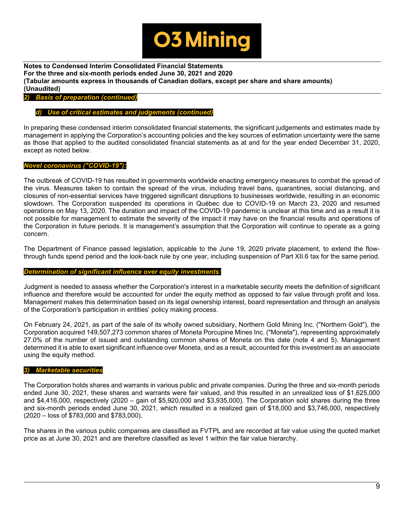

*2) Basis of preparation (continued)*

#### *d) Use of critical estimates and judgements (continued)*

In preparing these condensed interim consolidated financial statements, the significant judgements and estimates made by management in applying the Corporation's accounting policies and the key sources of estimation uncertainty were the same as those that applied to the audited consolidated financial statements as at and for the year ended December 31, 2020, except as noted below.

#### *Novel coronavirus ("COVID-19"):*

The outbreak of COVID-19 has resulted in governments worldwide enacting emergency measures to combat the spread of the virus. Measures taken to contain the spread of the virus, including travel bans, quarantines, social distancing, and closures of non-essential services have triggered significant disruptions to businesses worldwide, resulting in an economic slowdown. The Corporation suspended its operations in Québec due to COVID-19 on March 23, 2020 and resumed operations on May 13, 2020. The duration and impact of the COVID-19 pandemic is unclear at this time and as a result it is not possible for management to estimate the severity of the impact it may have on the financial results and operations of the Corporation in future periods. It is management's assumption that the Corporation will continue to operate as a going concern.

The Department of Finance passed legislation, applicable to the June 19, 2020 private placement, to extend the flowthrough funds spend period and the look-back rule by one year, including suspension of Part XII.6 tax for the same period.

#### *Determination of significant influence over equity investments:*

Judgment is needed to assess whether the Corporation's interest in a marketable security meets the definition of significant influence and therefore would be accounted for under the equity method as opposed to fair value through profit and loss. Management makes this determination based on its legal ownership interest, board representation and through an analysis of the Corporation's participation in entities' policy making process.

On February 24, 2021, as part of the sale of its wholly owned subsidiary, Northern Gold Mining Inc. ("Northern Gold"), the Corporation acquired 149,507,273 common shares of Moneta Porcupine Mines Inc. ("Moneta"), representing approximately 27.0% of the number of issued and outstanding common shares of Moneta on this date (note 4 and 5). Management determined it is able to exert significant influence over Moneta, and as a result, accounted for this investment as an associate using the equity method.

#### *3) Marketable securities*

The Corporation holds shares and warrants in various public and private companies. During the three and six-month periods ended June 30, 2021, these shares and warrants were fair valued, and this resulted in an unrealized loss of \$1,625,000 and \$4,416,000, respectively (2020 – gain of \$5,920,000 and \$3,935,000). The Corporation sold shares during the three and six-month periods ended June 30, 2021, which resulted in a realized gain of \$18,000 and \$3,746,000, respectively (2020 – loss of \$783,000 and \$783,000).

The shares in the various public companies are classified as FVTPL and are recorded at fair value using the quoted market price as at June 30, 2021 and are therefore classified as level 1 within the fair value hierarchy.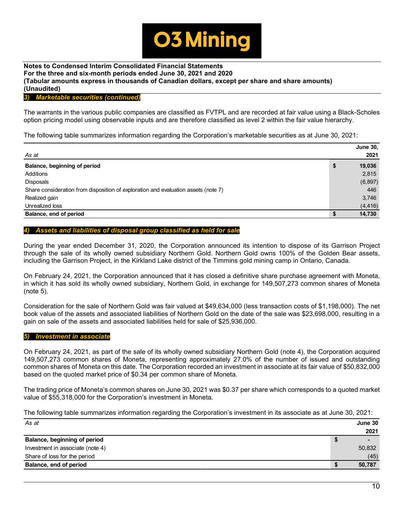

#### *3) Marketable securities (continued)*

The warrants in the various public companies are classified as FVTPL and are recorded at fair value using a Black-Scholes option pricing model using observable inputs and are therefore classified as level 2 within the fair value hierarchy.

The following table summarizes information regarding the Corporation's marketable securities as at June 30, 2021:

|                                                                                    | <b>June 30,</b> |
|------------------------------------------------------------------------------------|-----------------|
| As at                                                                              | 2021            |
| Balance, beginning of period                                                       | \$<br>19,036    |
| Additions                                                                          | 2,815           |
| <b>Disposals</b>                                                                   | (6, 897)        |
| Share consideration from disposition of exploration and evaluation assets (note 7) | 446             |
| Realized gain                                                                      | 3,746           |
| Unrealized loss                                                                    | (4, 416)        |
| Balance, end of period                                                             | 14,730          |

#### *4) Assets and liabilities of disposal group classified as held for sale*

During the year ended December 31, 2020, the Corporation announced its intention to dispose of its Garrison Project through the sale of its wholly owned subsidiary Northern Gold. Northern Gold owns 100% of the Golden Bear assets, including the Garrison Project, in the Kirkland Lake district of the Timmins gold mining camp in Ontario, Canada.

On February 24, 2021, the Corporation announced that it has closed a definitive share purchase agreement with Moneta, in which it has sold its wholly owned subsidiary, Northern Gold, in exchange for 149,507,273 common shares of Moneta (note 5).

Consideration for the sale of Northern Gold was fair valued at \$49,634,000 (less transaction costs of \$1,198,000). The net book value of the assets and associated liabilities of Northern Gold on the date of the sale was \$23,698,000, resulting in a gain on sale of the assets and associated liabilities held for sale of \$25,936,000.

#### *5) Investment in associate*

On February 24, 2021, as part of the sale of its wholly owned subsidiary Northern Gold (note 4), the Corporation acquired 149,507,273 common shares of Moneta, representing approximately 27.0% of the number of issued and outstanding common shares of Moneta on this date. The Corporation recorded an investment in associate at its fair value of \$50,832,000 based on the quoted market price of \$0.34 per common share of Moneta.

The trading price of Moneta's common shares on June 30, 2021 was \$0.37 per share which corresponds to a quoted market value of \$55,318,000 for the Corporation's investment in Moneta.

The following table summarizes information regarding the Corporation's investment in its associate as at June 30, 2021:

| As at                            | June 30                  |
|----------------------------------|--------------------------|
|                                  | 2021                     |
| Balance, beginning of period     | $\overline{\phantom{0}}$ |
| Investment in associate (note 4) | 50,832                   |
| Share of loss for the period     | (45)                     |
| Balance, end of period           | 50,787                   |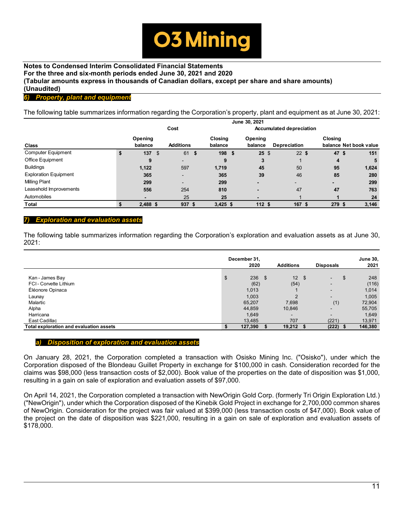

# *6) Property, plant and equipment*

The following table summarizes information regarding the Corporation's property, plant and equipment as at June 30, 2021:

|                              |    |            |                  |      |            | June 30, 2021   |                                 |         |                        |
|------------------------------|----|------------|------------------|------|------------|-----------------|---------------------------------|---------|------------------------|
|                              |    |            | Cost             |      |            |                 | <b>Accumulated depreciation</b> |         |                        |
|                              |    | Opening    |                  |      | Closing    | Opening         |                                 | Closing |                        |
| Class                        |    | balance    | <b>Additions</b> |      | balance    | balance         | Depreciation                    |         | balance Net book value |
| <b>Computer Equipment</b>    | \$ | 137        | \$<br>61         | - \$ | 198 \$     | $25 \text{ } $$ | $22$ \$                         | 47      | 151<br>\$              |
| Office Equipment             |    | 9          | ۰.               |      | 9          | 3               |                                 | 4       | 5                      |
| <b>Buildings</b>             |    | 1,122      | 597              |      | 1,719      | 45              | 50                              | 95      | 1,624                  |
| <b>Exploration Equipment</b> |    | 365        | -                |      | 365        | 39              | 46                              | 85      | 280                    |
| <b>Milling Plant</b>         |    | 299        | -                |      | 299        |                 |                                 |         | 299                    |
| Leasehold Improvements       |    | 556        | 254              |      | 810        | -               | 47                              | 47      | 763                    |
| Automobiles                  |    |            | 25               |      | 25         | -               |                                 |         | 24                     |
| <b>Total</b>                 | S  | $2,488$ \$ | 937 \$           |      | $3,425$ \$ | 112S            | 167                             | 279 \$  | 3,146                  |

#### *7) Exploration and evaluation assets*

The following table summarizes information regarding the Corporation's exploration and evaluation assets as at June 30, 2021:

|                                         |    | December 31,<br>2020 |      | <b>Additions</b> | <b>Disposals</b>                 |     | <b>June 30,</b><br>2021 |
|-----------------------------------------|----|----------------------|------|------------------|----------------------------------|-----|-------------------------|
| Kan - James Bay                         | \$ | 236                  | - \$ | 12S              |                                  |     | \$<br>248               |
| FCI-Corvette Lithium                    |    | (62)                 |      | (54)             | $\blacksquare$<br>$\blacksquare$ |     | (116)                   |
| Éléonore Opinaca                        |    | 1,013                |      |                  | $\overline{\phantom{a}}$         |     | 1,014                   |
| Launay                                  |    | 1,003                |      | $\mathcal{P}$    | $\overline{\phantom{0}}$         |     | 1,005                   |
| Malartic                                |    | 65,207               |      | 7,698            |                                  | (1) | 72,904                  |
| Alpha                                   |    | 44,859               |      | 10,846           | -                                |     | 55,705                  |
| Harricana                               |    | 1,649                |      | $\blacksquare$   |                                  |     | 1,649                   |
| East Cadillac                           |    | 13,485               |      | 707              | (221)                            |     | 13,971                  |
| Total exploration and evaluation assets | S  | 127,390              |      | 19,212           | (222)                            |     | 146,380                 |

#### *a) Disposition of exploration and evaluation assets*

On January 28, 2021, the Corporation completed a transaction with Osisko Mining Inc. ("Osisko"), under which the Corporation disposed of the Blondeau Guillet Property in exchange for \$100,000 in cash. Consideration recorded for the claims was \$98,000 (less transaction costs of \$2,000). Book value of the properties on the date of disposition was \$1,000, resulting in a gain on sale of exploration and evaluation assets of \$97,000.

On April 14, 2021, the Corporation completed a transaction with NewOrigin Gold Corp. (formerly Tri Origin Exploration Ltd.) ("NewOrigin"), under which the Corporation disposed of the Kinebik Gold Project in exchange for 2,700,000 common shares of NewOrigin. Consideration for the project was fair valued at \$399,000 (less transaction costs of \$47,000). Book value of the project on the date of disposition was \$221,000, resulting in a gain on sale of exploration and evaluation assets of \$178,000.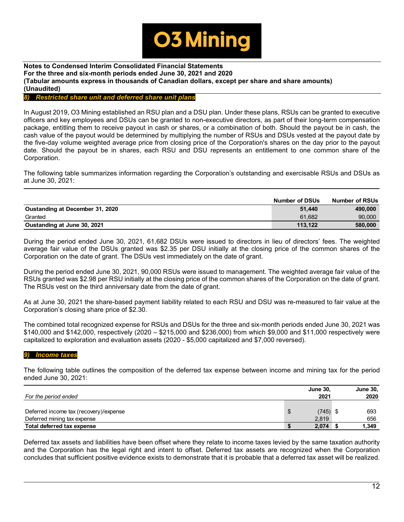

# *8) Restricted share unit and deferred share unit plans*

In August 2019, O3 Mining established an RSU plan and a DSU plan. Under these plans, RSUs can be granted to executive officers and key employees and DSUs can be granted to non-executive directors, as part of their long-term compensation package, entitling them to receive payout in cash or shares, or a combination of both. Should the payout be in cash, the cash value of the payout would be determined by multiplying the number of RSUs and DSUs vested at the payout date by the five-day volume weighted average price from closing price of the Corporation's shares on the day prior to the payout date. Should the payout be in shares, each RSU and DSU represents an entitlement to one common share of the Corporation.

The following table summarizes information regarding the Corporation's outstanding and exercisable RSUs and DSUs as at June 30, 2021:

|                                 | <b>Number of DSUs</b> | <b>Number of RSUs</b> |
|---------------------------------|-----------------------|-----------------------|
| Oustanding at December 31, 2020 | 51.440                | 490.000               |
| Granted                         | 61.682                | 90.000                |
| Oustanding at June 30, 2021     | 113.122               | 580,000               |

During the period ended June 30, 2021, 61,682 DSUs were issued to directors in lieu of directors' fees. The weighted average fair value of the DSUs granted was \$2.35 per DSU initially at the closing price of the common shares of the Corporation on the date of grant. The DSUs vest immediately on the date of grant.

During the period ended June 30, 2021, 90,000 RSUs were issued to management. The weighted average fair value of the RSUs granted was \$2.98 per RSU initially at the closing price of the common shares of the Corporation on the date of grant. The RSUs vest on the third anniversary date from the date of grant.

As at June 30, 2021 the share-based payment liability related to each RSU and DSU was re-measured to fair value at the Corporation's closing share price of \$2.30.

The combined total recognized expense for RSUs and DSUs for the three and six-month periods ended June 30, 2021 was \$140,000 and \$142,000, respectively (2020 – \$215,000 and \$236,000) from which \$9,000 and \$11,000 respectively were capitalized to exploration and evaluation assets (2020 - \$5,000 capitalized and \$7,000 reversed).

#### *9) Income taxes*

The following table outlines the composition of the deferred tax expense between income and mining tax for the period ended June 30, 2021:

|                                        | <b>June 30.</b>  | <b>June 30,</b> |
|----------------------------------------|------------------|-----------------|
| For the period ended                   | 2021             | 2020            |
|                                        |                  |                 |
| Deferred income tax (recovery)/expense | \$<br>$(745)$ \$ | 693             |
| Deferred mining tax expense            | 2.819            | 656             |
| Total deferred tax expense             | 2,074            | 1,349           |

Deferred tax assets and liabilities have been offset where they relate to income taxes levied by the same taxation authority and the Corporation has the legal right and intent to offset. Deferred tax assets are recognized when the Corporation concludes that sufficient positive evidence exists to demonstrate that it is probable that a deferred tax asset will be realized.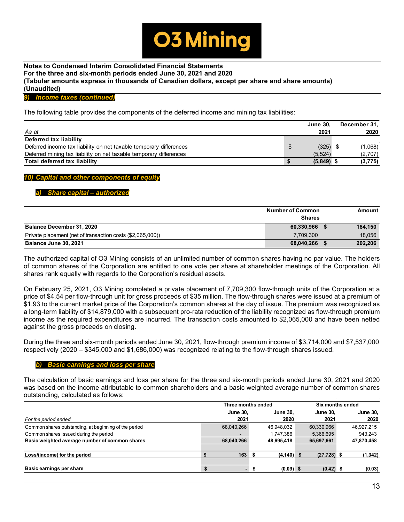

*9) Income taxes (continued)*

The following table provides the components of the deferred income and mining tax liabilities:

|                                                                    | <b>June 30.</b>  | December 31, |
|--------------------------------------------------------------------|------------------|--------------|
| As at                                                              | 2021             | 2020         |
| Deferred tax liability                                             |                  |              |
| Deferred income tax liability on net taxable temporary differences | \$<br>$(325)$ \$ | (1,068)      |
| Deferred mining tax liability on net taxable temporary differences | (5.524)          | (2,707)      |
| Total deferred tax liability                                       | $(5,849)$ \$     | (3, 775)     |

#### *10) Capital and other components of equity*

#### *a) Share capital – authorized*

|                                                            | <b>Number of Common</b><br><b>Shares</b> | Amount  |
|------------------------------------------------------------|------------------------------------------|---------|
| <b>Balance December 31, 2020</b>                           | 60,330,966                               | 184.150 |
| Private placement (net of transaction costs (\$2,065,000)) | 7.709.300                                | 18,056  |
| Balance June 30, 2021                                      | 68,040,266                               | 202,206 |

The authorized capital of O3 Mining consists of an unlimited number of common shares having no par value. The holders of common shares of the Corporation are entitled to one vote per share at shareholder meetings of the Corporation. All shares rank equally with regards to the Corporation's residual assets.

On February 25, 2021, O3 Mining completed a private placement of 7,709,300 flow-through units of the Corporation at a price of \$4.54 per flow-through unit for gross proceeds of \$35 million. The flow-through shares were issued at a premium of \$1.93 to the current market price of the Corporation's common shares at the day of issue. The premium was recognized as a long-term liability of \$14,879,000 with a subsequent pro-rata reduction of the liability recognized as flow-through premium income as the required expenditures are incurred. The transaction costs amounted to \$2,065,000 and have been netted against the gross proceeds on closing.

During the three and six-month periods ended June 30, 2021, flow-through premium income of \$3,714,000 and \$7,537,000 respectively (2020 – \$345,000 and \$1,686,000) was recognized relating to the flow-through shares issued.

#### *b) Basic earnings and loss per share*

The calculation of basic earnings and loss per share for the three and six-month periods ended June 30, 2021 and 2020 was based on the income attributable to common shareholders and a basic weighted average number of common shares outstanding, calculated as follows:

|                                                       |   | Six months ended         |                 |                 |  |                 |
|-------------------------------------------------------|---|--------------------------|-----------------|-----------------|--|-----------------|
|                                                       |   | <b>June 30.</b>          | <b>June 30.</b> | <b>June 30.</b> |  | <b>June 30,</b> |
| For the period ended                                  |   | 2021                     | 2020            | 2021            |  | 2020            |
| Common shares outstanding, at beginning of the period |   | 68,040,266               | 46.948.032      | 60,330,966      |  | 46.927.215      |
| Common shares issued during the period                |   |                          | 1.747.386       | 5.366.695       |  | 943.243         |
| Basic weighted average number of common shares        |   | 68.040.266               | 48,695,418      | 65,697,661      |  | 47,870,458      |
| Loss/(income) for the period                          |   | 163                      | $(4, 140)$ \$   | $(27, 728)$ \$  |  | (1, 342)        |
|                                                       |   |                          |                 |                 |  |                 |
| Basic earnings per share                              | S | $\overline{\phantom{a}}$ | $(0.09)$ \$     | $(0.42)$ \$     |  | (0.03)          |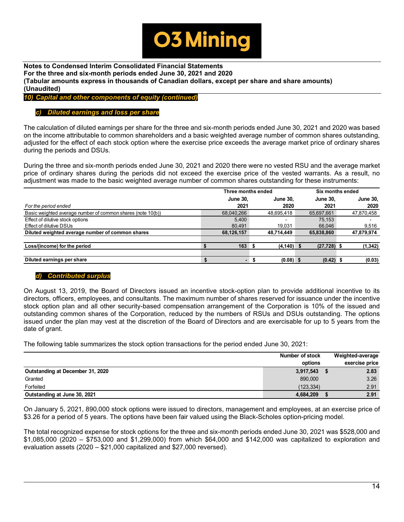

*10) Capital and other components of equity (continued)*

#### *c) Diluted earnings and loss per share*

The calculation of diluted earnings per share for the three and six-month periods ended June 30, 2021 and 2020 was based on the income attributable to common shareholders and a basic weighted average number of common shares outstanding, adjusted for the effect of each stock option where the exercise price exceeds the average market price of ordinary shares during the periods and DSUs.

During the three and six-month periods ended June 30, 2021 and 2020 there were no vested RSU and the average market price of ordinary shares during the periods did not exceed the exercise price of the vested warrants. As a result, no adjustment was made to the basic weighted average number of common shares outstanding for these instruments:

|                                                             | Three months ended |                 |  |                 |  | Six months ended |  |                 |  |  |
|-------------------------------------------------------------|--------------------|-----------------|--|-----------------|--|------------------|--|-----------------|--|--|
|                                                             |                    | <b>June 30.</b> |  | <b>June 30.</b> |  | <b>June 30.</b>  |  | <b>June 30,</b> |  |  |
| For the period ended                                        |                    | 2021            |  | 2020            |  | 2021             |  | 2020            |  |  |
| Basic weighted average number of common shares (note 10(b)) |                    | 68,040,266      |  | 48,695,418      |  | 65,697,661       |  | 47,870,458      |  |  |
| Effect of dilutive stock options                            |                    | 5.400           |  |                 |  | 75.153           |  |                 |  |  |
| Effect of dilutive DSUs                                     |                    | 80.491          |  | 19.031          |  | 66.046           |  | 9,516           |  |  |
| Diluted weighted average number of common shares            |                    | 68,126,157      |  | 48.714.449      |  | 65,838,860       |  | 47,879,974      |  |  |
| Loss/(income) for the period                                |                    | 163             |  | $(4, 140)$ \$   |  | $(27, 728)$ \$   |  | (1, 342)        |  |  |
|                                                             |                    |                 |  |                 |  |                  |  |                 |  |  |
| Diluted earnings per share                                  |                    |                 |  | $(0.08)$ \$     |  | $(0.42)$ \$      |  | (0.03)          |  |  |

#### *d) Contributed surplus*

On August 13, 2019, the Board of Directors issued an incentive stock-option plan to provide additional incentive to its directors, officers, employees, and consultants. The maximum number of shares reserved for issuance under the incentive stock option plan and all other security-based compensation arrangement of the Corporation is 10% of the issued and outstanding common shares of the Corporation, reduced by the numbers of RSUs and DSUs outstanding. The options issued under the plan may vest at the discretion of the Board of Directors and are exercisable for up to 5 years from the date of grant.

The following table summarizes the stock option transactions for the period ended June 30, 2021:

|                                  | Number of stock | Weighted-average |
|----------------------------------|-----------------|------------------|
|                                  | options         | exercise price   |
| Outstanding at December 31, 2020 | 3,917,543       | 2.83             |
| Granted                          | 890,000         | 3.26             |
| Forfeited                        | (123, 334)      | 2.91             |
| Outstanding at June 30, 2021     | 4,684,209       | 2.91             |

On January 5, 2021, 890,000 stock options were issued to directors, management and employees, at an exercise price of \$3.26 for a period of 5 years. The options have been fair valued using the Black-Scholes option-pricing model.

The total recognized expense for stock options for the three and six-month periods ended June 30, 2021 was \$528,000 and \$1,085,000 (2020 – \$753,000 and \$1,299,000) from which \$64,000 and \$142,000 was capitalized to exploration and evaluation assets (2020 – \$21,000 capitalized and \$27,000 reversed).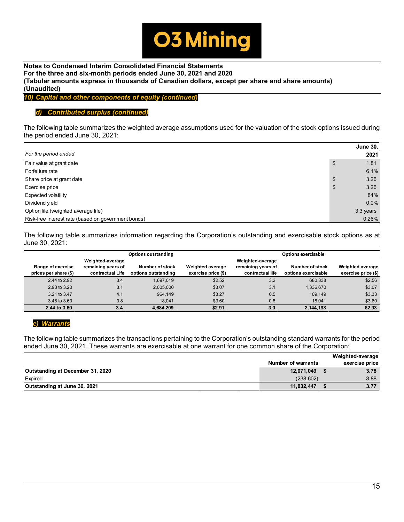

*10) Capital and other components of equity (continued)*

# *d) Contributed surplus (continued)*

The following table summarizes the weighted average assumptions used for the valuation of the stock options issued during the period ended June 30, 2021:

|                                                     |    | <b>June 30,</b> |  |  |
|-----------------------------------------------------|----|-----------------|--|--|
| For the period ended                                |    |                 |  |  |
| Fair value at grant date                            | \$ | 1.81            |  |  |
| Forfeiture rate                                     |    | 6.1%            |  |  |
| Share price at grant date                           | \$ | 3.26            |  |  |
| Exercise price                                      | \$ | 3.26            |  |  |
| Expected volatility                                 |    | 84%             |  |  |
| Dividend yield                                      |    | $0.0\%$         |  |  |
| Option life (weighted average life)                 |    | 3.3 years       |  |  |
| Risk-free interest rate (based on government bonds) |    | 0.26%           |  |  |

The following table summarizes information regarding the Corporation's outstanding and exercisable stock options as at June 30, 2021:

|                                            |                                                            | <b>Options outstanding</b>             |                                                | <b>Options exercisable</b>                                 |                                        |                                                |  |  |  |  |
|--------------------------------------------|------------------------------------------------------------|----------------------------------------|------------------------------------------------|------------------------------------------------------------|----------------------------------------|------------------------------------------------|--|--|--|--|
| Range of exercise<br>prices per share (\$) | Weighted-average<br>remaining years of<br>contractual Life | Number of stock<br>options outstanding | <b>Weighted average</b><br>exercise price (\$) | Weighted-average<br>remaining years of<br>contractual life | Number of stock<br>options exercisable | <b>Weighted average</b><br>exercise price (\$) |  |  |  |  |
| 2.44 to 2.92                               | 3.4                                                        | 1.697.019                              | \$2.52                                         | 3.2                                                        | 680.338                                | \$2.56                                         |  |  |  |  |
| 2.93 to 3.20                               | 3.1                                                        | 2,005,000                              | \$3.07                                         | 3.1                                                        | 1,336,670                              | \$3.07                                         |  |  |  |  |
| 3.21 to 3.47                               | 4.1                                                        | 964.149                                | \$3.27                                         | 0.5                                                        | 109,149                                | \$3.33                                         |  |  |  |  |
| 3.48 to 3.60                               | 0.8                                                        | 18.041                                 | \$3.60                                         | 0.8                                                        | 18.041                                 | \$3.60                                         |  |  |  |  |
| 2.44 to 3.60                               | 3.4                                                        | 4,684,209                              | \$2.91                                         | 3.0                                                        | 2,144,198                              | \$2.93                                         |  |  |  |  |

# *e) Warrants*

The following table summarizes the transactions pertaining to the Corporation's outstanding standard warrants for the period ended June 30, 2021. These warrants are exercisable at one warrant for one common share of the Corporation:

|                                  |                           | Weighted-average |
|----------------------------------|---------------------------|------------------|
|                                  | <b>Number of warrants</b> | exercise price   |
| Outstanding at December 31, 2020 | 12,071,049                | 3.78             |
| Expired                          | (238.602)                 | 3.88             |
| Outstanding at June 30, 2021     | 11,832,447                | 3.77             |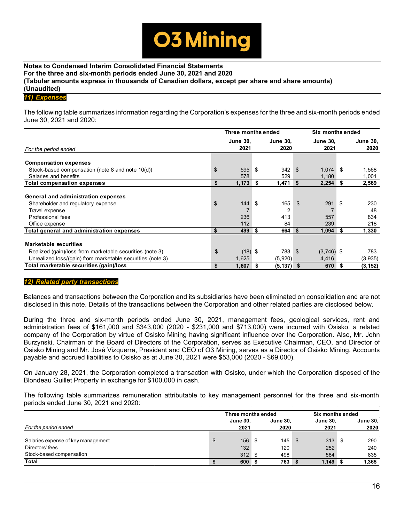

#### *11) Expenses*

The following table summarizes information regarding the Corporation's expenses for the three and six-month periods ended June 30, 2021 and 2020:

|                                                                                                                                                 | Three months ended       |     |                         |                | Six months ended        |      |                         |  |
|-------------------------------------------------------------------------------------------------------------------------------------------------|--------------------------|-----|-------------------------|----------------|-------------------------|------|-------------------------|--|
| For the period ended                                                                                                                            | <b>June 30,</b><br>2021  |     | <b>June 30.</b><br>2020 |                | <b>June 30,</b><br>2021 |      | <b>June 30,</b><br>2020 |  |
| <b>Compensation expenses</b>                                                                                                                    |                          |     |                         |                |                         |      |                         |  |
| Stock-based compensation (note 8 and note 10(d))                                                                                                | \$<br>595                | \$  | 942                     | \$             | $1,074$ \$              |      | 1,568                   |  |
| Salaries and benefits                                                                                                                           | 578                      |     | 529                     |                | 1,180                   |      | 1,001                   |  |
| <b>Total compensation expenses</b>                                                                                                              | \$<br>1,173              | \$  | 1,471                   | \$             | 2,254                   | - \$ | 2,569                   |  |
| General and administration expenses<br>Shareholder and regulatory expense<br>Travel expense<br>Professional fees<br>Office expense              | \$<br>144<br>236<br>112  | \$  | 165<br>2<br>413<br>84   | $\mathfrak{L}$ | 291<br>557<br>239       | \$   | 230<br>48<br>834<br>218 |  |
| Total general and administration expenses                                                                                                       | \$<br>499                | -\$ | 664                     | -S             | 1,094                   | . \$ | 1,330                   |  |
| Marketable securities<br>Realized (gain)/loss from marketable securities (note 3)<br>Unrealized loss/(gain) from marketable securities (note 3) | \$<br>$(18)$ \$<br>1,625 |     | 783<br>(5,920)          | \$             | $(3,746)$ \$<br>4,416   |      | 783<br>(3,935)          |  |
| Total marketable securities (gain)/loss                                                                                                         | \$<br>1,607              | S   | $(5, 137)$ \$           |                | 670                     | -\$  | (3, 152)                |  |

#### *12) Related party transactions*

Balances and transactions between the Corporation and its subsidiaries have been eliminated on consolidation and are not disclosed in this note. Details of the transactions between the Corporation and other related parties are disclosed below.

During the three and six-month periods ended June 30, 2021, management fees, geological services, rent and administration fees of \$161,000 and \$343,000 (2020 - \$231,000 and \$713,000) were incurred with Osisko, a related company of the Corporation by virtue of Osisko Mining having significant influence over the Corporation. Also, Mr. John Burzynski, Chairman of the Board of Directors of the Corporation, serves as Executive Chairman, CEO, and Director of Osisko Mining and Mr. José Vizquerra, President and CEO of O3 Mining, serves as a Director of Osisko Mining. Accounts payable and accrued liabilities to Osisko as at June 30, 2021 were \$53,000 (2020 - \$69,000).

On January 28, 2021, the Corporation completed a transaction with Osisko, under which the Corporation disposed of the Blondeau Guillet Property in exchange for \$100,000 in cash.

The following table summarizes remuneration attributable to key management personnel for the three and six-month periods ended June 30, 2021 and 2020:

|                                    | Three months ended |                 |  |                 |      | Six months ended |  |                 |  |
|------------------------------------|--------------------|-----------------|--|-----------------|------|------------------|--|-----------------|--|
|                                    |                    | <b>June 30.</b> |  | <b>June 30.</b> |      | <b>June 30.</b>  |  | <b>June 30,</b> |  |
| For the period ended               |                    | 2021            |  | 2020            |      | 2021             |  | 2020            |  |
|                                    |                    |                 |  |                 |      |                  |  |                 |  |
| Salaries expense of key management | \$                 | $156-5$         |  | 145             | - \$ | 313S             |  | 290             |  |
| Directors' fees                    |                    | 132             |  | 120             |      | 252              |  | 240             |  |
| Stock-based compensation           |                    | 312S            |  | 498             |      | 584              |  | 835             |  |
| Total                              |                    | 600S            |  | 763             |      | $1,149$ \$       |  | 1.365           |  |